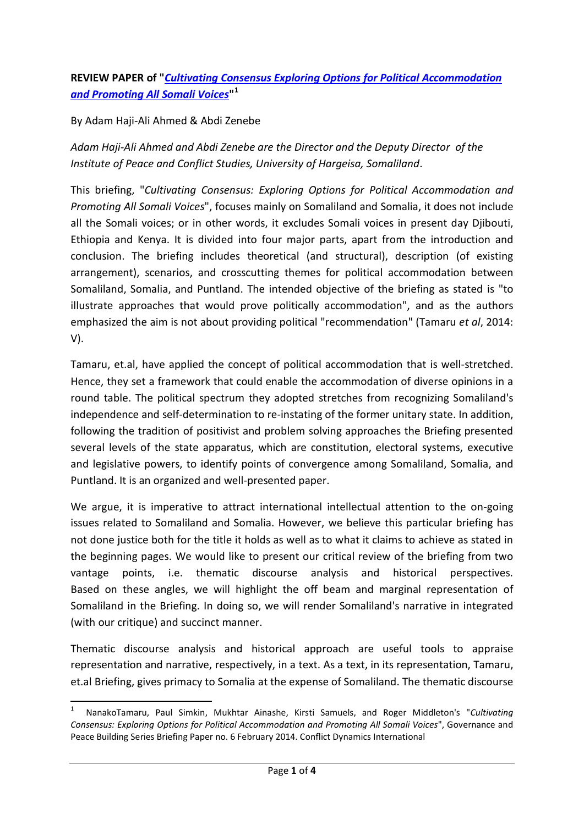## **REVIEW PAPER of "***[Cultivating Consensus Exploring Options for Political Accommodation](http://www.cdint.org/documents/CDI-Cultivating_Consensus_full_report_English.pdf)  [and Promoting All Somali Voices](http://www.cdint.org/documents/CDI-Cultivating_Consensus_full_report_English.pdf)***" [1](#page-0-0)**

## By Adam Haji-Ali Ahmed & Abdi Zenebe

*Adam Haji-Ali Ahmed and Abdi Zenebe are the Director and the Deputy Director of the Institute of Peace and Conflict Studies, University of Hargeisa, Somaliland*.

This briefing, "*Cultivating Consensus: Exploring Options for Political Accommodation and Promoting All Somali Voices*", focuses mainly on Somaliland and Somalia, it does not include all the Somali voices; or in other words, it excludes Somali voices in present day Djibouti, Ethiopia and Kenya. It is divided into four major parts, apart from the introduction and conclusion. The briefing includes theoretical (and structural), description (of existing arrangement), scenarios, and crosscutting themes for political accommodation between Somaliland, Somalia, and Puntland. The intended objective of the briefing as stated is "to illustrate approaches that would prove politically accommodation", and as the authors emphasized the aim is not about providing political "recommendation" (Tamaru *et al*, 2014: V).

Tamaru, et.al, have applied the concept of political accommodation that is well-stretched. Hence, they set a framework that could enable the accommodation of diverse opinions in a round table. The political spectrum they adopted stretches from recognizing Somaliland's independence and self-determination to re-instating of the former unitary state. In addition, following the tradition of positivist and problem solving approaches the Briefing presented several levels of the state apparatus, which are constitution, electoral systems, executive and legislative powers, to identify points of convergence among Somaliland, Somalia, and Puntland. It is an organized and well-presented paper.

We argue, it is imperative to attract international intellectual attention to the on-going issues related to Somaliland and Somalia. However, we believe this particular briefing has not done justice both for the title it holds as well as to what it claims to achieve as stated in the beginning pages. We would like to present our critical review of the briefing from two vantage points, i.e. thematic discourse analysis and historical perspectives. Based on these angles, we will highlight the off beam and marginal representation of Somaliland in the Briefing. In doing so, we will render Somaliland's narrative in integrated (with our critique) and succinct manner.

Thematic discourse analysis and historical approach are useful tools to appraise representation and narrative, respectively, in a text. As a text, in its representation, Tamaru, et.al Briefing, gives primacy to Somalia at the expense of Somaliland. The thematic discourse

<span id="page-0-0"></span> <sup>1</sup> NanakoTamaru, Paul Simkin, Mukhtar Ainashe, Kirsti Samuels, and Roger Middleton's "*Cultivating Consensus: Exploring Options for Political Accommodation and Promoting All Somali Voices*", Governance and Peace Building Series Briefing Paper no. 6 February 2014. Conflict Dynamics International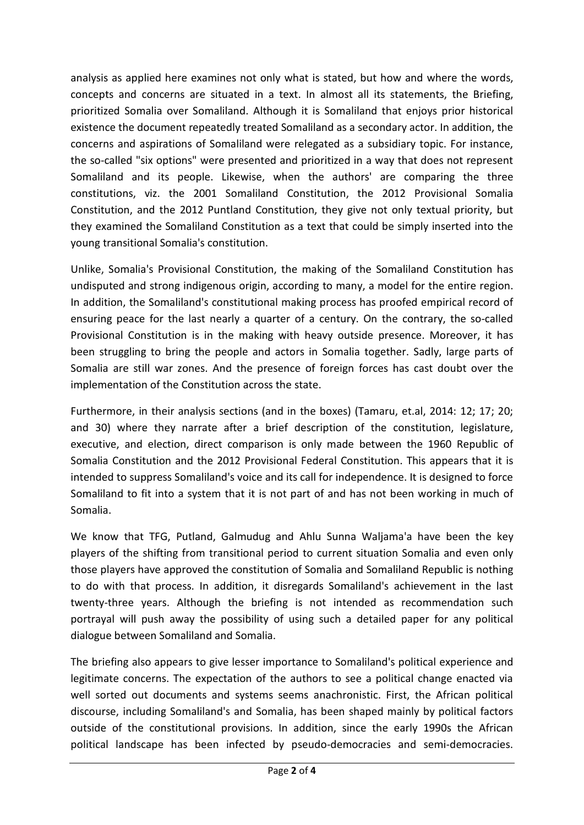analysis as applied here examines not only what is stated, but how and where the words, concepts and concerns are situated in a text. In almost all its statements, the Briefing, prioritized Somalia over Somaliland. Although it is Somaliland that enjoys prior historical existence the document repeatedly treated Somaliland as a secondary actor. In addition, the concerns and aspirations of Somaliland were relegated as a subsidiary topic. For instance, the so-called "six options" were presented and prioritized in a way that does not represent Somaliland and its people. Likewise, when the authors' are comparing the three constitutions, viz. the 2001 Somaliland Constitution, the 2012 Provisional Somalia Constitution, and the 2012 Puntland Constitution, they give not only textual priority, but they examined the Somaliland Constitution as a text that could be simply inserted into the young transitional Somalia's constitution.

Unlike, Somalia's Provisional Constitution, the making of the Somaliland Constitution has undisputed and strong indigenous origin, according to many, a model for the entire region. In addition, the Somaliland's constitutional making process has proofed empirical record of ensuring peace for the last nearly a quarter of a century. On the contrary, the so-called Provisional Constitution is in the making with heavy outside presence. Moreover, it has been struggling to bring the people and actors in Somalia together. Sadly, large parts of Somalia are still war zones. And the presence of foreign forces has cast doubt over the implementation of the Constitution across the state.

Furthermore, in their analysis sections (and in the boxes) (Tamaru, et.al, 2014: 12; 17; 20; and 30) where they narrate after a brief description of the constitution, legislature, executive, and election, direct comparison is only made between the 1960 Republic of Somalia Constitution and the 2012 Provisional Federal Constitution. This appears that it is intended to suppress Somaliland's voice and its call for independence. It is designed to force Somaliland to fit into a system that it is not part of and has not been working in much of Somalia.

We know that TFG, Putland, Galmudug and Ahlu Sunna Waljama'a have been the key players of the shifting from transitional period to current situation Somalia and even only those players have approved the constitution of Somalia and Somaliland Republic is nothing to do with that process. In addition, it disregards Somaliland's achievement in the last twenty-three years. Although the briefing is not intended as recommendation such portrayal will push away the possibility of using such a detailed paper for any political dialogue between Somaliland and Somalia.

The briefing also appears to give lesser importance to Somaliland's political experience and legitimate concerns. The expectation of the authors to see a political change enacted via well sorted out documents and systems seems anachronistic. First, the African political discourse, including Somaliland's and Somalia, has been shaped mainly by political factors outside of the constitutional provisions. In addition, since the early 1990s the African political landscape has been infected by pseudo-democracies and semi-democracies.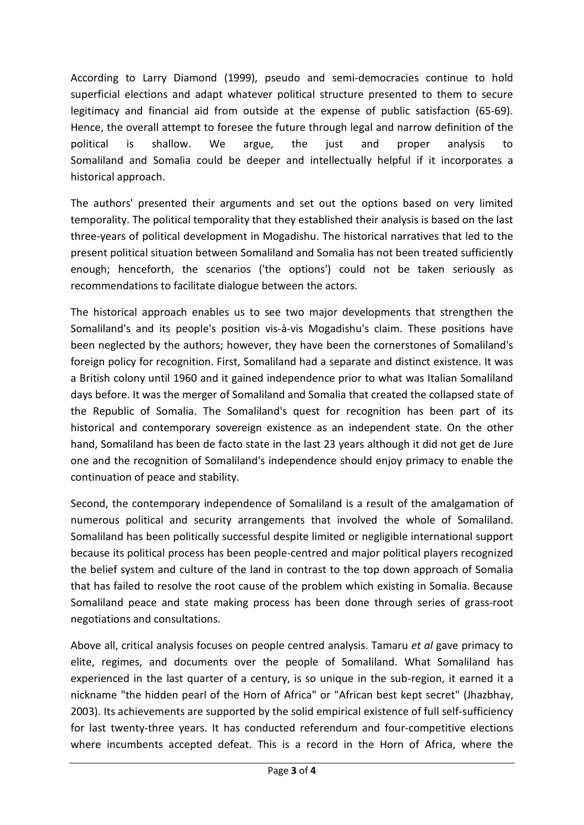According to Larry Diamond (1999), pseudo and semi-democracies continue to hold superficial elections and adapt whatever political structure presented to them to secure legitimacy and financial aid from outside at the expense of public satisfaction (65-69). Hence, the overall attempt to foresee the future through legal and narrow definition of the political is shallow. We argue, the just and proper analysis to Somaliland and Somalia could be deeper and intellectually helpful if it incorporates a historical approach.

The authors' presented their arguments and set out the options based on very limited temporality. The political temporality that they established their analysis is based on the last three-years of political development in Mogadishu. The historical narratives that led to the present political situation between Somaliland and Somalia has not been treated sufficiently enough; henceforth, the scenarios ('the options') could not be taken seriously as recommendations to facilitate dialogue between the actors.

The historical approach enables us to see two major developments that strengthen the Somaliland's and its people's position vis-à-vis Mogadishu's claim. These positions have been neglected by the authors; however, they have been the cornerstones of Somaliland's foreign policy for recognition. First, Somaliland had a separate and distinct existence. It was a British colony until 1960 and it gained independence prior to what was Italian Somaliland days before. It was the merger of Somaliland and Somalia that created the collapsed state of the Republic of Somalia. The Somaliland's quest for recognition has been part of its historical and contemporary sovereign existence as an independent state. On the other hand, Somaliland has been de facto state in the last 23 years although it did not get de Jure one and the recognition of Somaliland's independence should enjoy primacy to enable the continuation of peace and stability.

Second, the contemporary independence of Somaliland is a result of the amalgamation of numerous political and security arrangements that involved the whole of Somaliland. Somaliland has been politically successful despite limited or negligible international support because its political process has been people-centred and major political players recognized the belief system and culture of the land in contrast to the top down approach of Somalia that has failed to resolve the root cause of the problem which existing in Somalia. Because Somaliland peace and state making process has been done through series of grass-root negotiations and consultations.

Above all, critical analysis focuses on people centred analysis. Tamaru *et al* gave primacy to elite, regimes, and documents over the people of Somaliland. What Somaliland has experienced in the last quarter of a century, is so unique in the sub-region, it earned it a nickname "the hidden pearl of the Horn of Africa" or "African best kept secret" (Jhazbhay, 2003). Its achievements are supported by the solid empirical existence of full self-sufficiency for last twenty-three years. It has conducted referendum and four-competitive elections where incumbents accepted defeat. This is a record in the Horn of Africa, where the